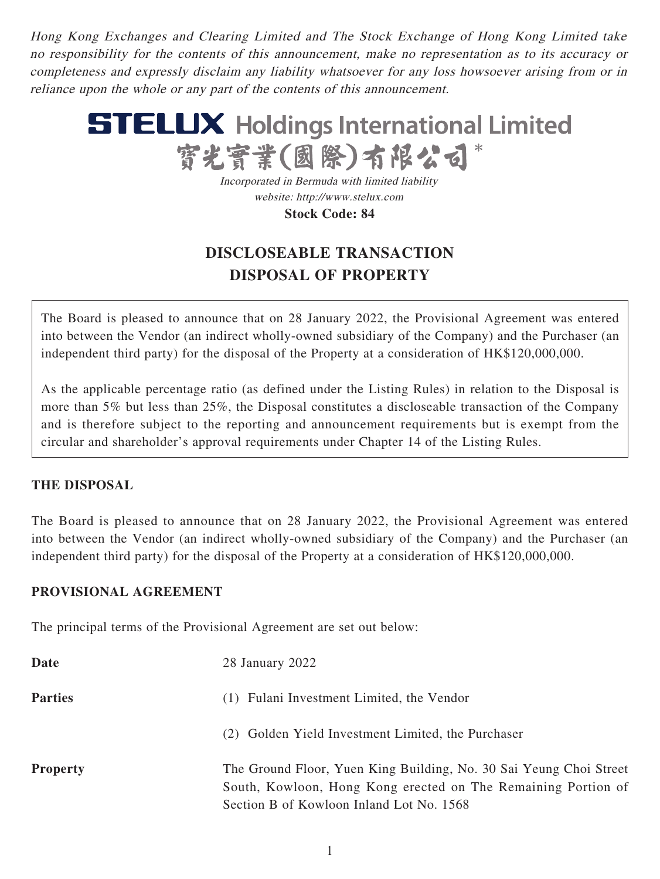Hong Kong Exchanges and Clearing Limited and The Stock Exchange of Hong Kong Limited take no responsibility for the contents of this announcement, make no representation as to its accuracy or completeness and expressly disclaim any liability whatsoever for any loss howsoever arising from or in reliance upon the whole or any part of the contents of this announcement.



Incorporated in Bermuda with limited liability website: http://www.stelux.com **Stock Code: 84**

# **DISCLOSEABLE TRANSACTION DISPOSAL OF PROPERTY**

The Board is pleased to announce that on 28 January 2022, the Provisional Agreement was entered into between the Vendor (an indirect wholly-owned subsidiary of the Company) and the Purchaser (an independent third party) for the disposal of the Property at a consideration of HK\$120,000,000.

As the applicable percentage ratio (as defined under the Listing Rules) in relation to the Disposal is more than 5% but less than 25%, the Disposal constitutes a discloseable transaction of the Company and is therefore subject to the reporting and announcement requirements but is exempt from the circular and shareholder's approval requirements under Chapter 14 of the Listing Rules.

### **THE DISPOSAL**

The Board is pleased to announce that on 28 January 2022, the Provisional Agreement was entered into between the Vendor (an indirect wholly-owned subsidiary of the Company) and the Purchaser (an independent third party) for the disposal of the Property at a consideration of HK\$120,000,000.

### **PROVISIONAL AGREEMENT**

The principal terms of the Provisional Agreement are set out below:

| Date            | 28 January 2022                                                                                                                                                                 |
|-----------------|---------------------------------------------------------------------------------------------------------------------------------------------------------------------------------|
| <b>Parties</b>  | (1) Fulani Investment Limited, the Vendor                                                                                                                                       |
|                 | (2) Golden Yield Investment Limited, the Purchaser                                                                                                                              |
| <b>Property</b> | The Ground Floor, Yuen King Building, No. 30 Sai Yeung Choi Street<br>South, Kowloon, Hong Kong erected on The Remaining Portion of<br>Section B of Kowloon Inland Lot No. 1568 |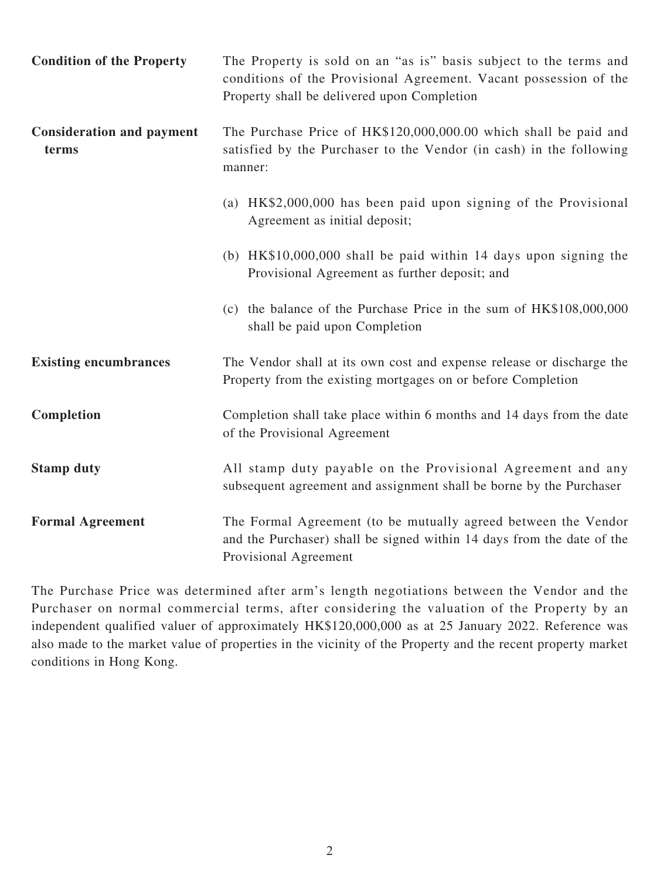| <b>Condition of the Property</b>          | The Property is sold on an "as is" basis subject to the terms and<br>conditions of the Provisional Agreement. Vacant possession of the<br>Property shall be delivered upon Completion |
|-------------------------------------------|---------------------------------------------------------------------------------------------------------------------------------------------------------------------------------------|
| <b>Consideration and payment</b><br>terms | The Purchase Price of HK\$120,000,000.00 which shall be paid and<br>satisfied by the Purchaser to the Vendor (in cash) in the following<br>manner:                                    |
|                                           | (a) HK\$2,000,000 has been paid upon signing of the Provisional<br>Agreement as initial deposit;                                                                                      |
|                                           | (b) $HK$10,000,000$ shall be paid within 14 days upon signing the<br>Provisional Agreement as further deposit; and                                                                    |
|                                           | (c) the balance of the Purchase Price in the sum of HK\$108,000,000<br>shall be paid upon Completion                                                                                  |
| <b>Existing encumbrances</b>              | The Vendor shall at its own cost and expense release or discharge the<br>Property from the existing mortgages on or before Completion                                                 |
| Completion                                | Completion shall take place within 6 months and 14 days from the date<br>of the Provisional Agreement                                                                                 |
| <b>Stamp duty</b>                         | All stamp duty payable on the Provisional Agreement and any<br>subsequent agreement and assignment shall be borne by the Purchaser                                                    |
| <b>Formal Agreement</b>                   | The Formal Agreement (to be mutually agreed between the Vendor<br>and the Purchaser) shall be signed within 14 days from the date of the<br>Provisional Agreement                     |

The Purchase Price was determined after arm's length negotiations between the Vendor and the Purchaser on normal commercial terms, after considering the valuation of the Property by an independent qualified valuer of approximately HK\$120,000,000 as at 25 January 2022. Reference was also made to the market value of properties in the vicinity of the Property and the recent property market conditions in Hong Kong.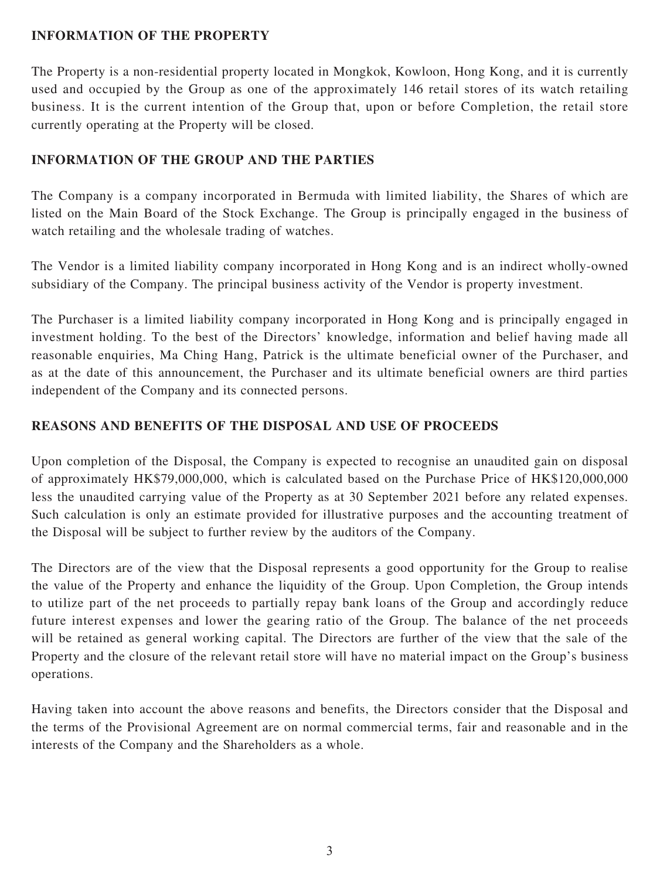# **INFORMATION OF THE PROPERTY**

The Property is a non-residential property located in Mongkok, Kowloon, Hong Kong, and it is currently used and occupied by the Group as one of the approximately 146 retail stores of its watch retailing business. It is the current intention of the Group that, upon or before Completion, the retail store currently operating at the Property will be closed.

# **INFORMATION OF THE GROUP AND THE PARTIES**

The Company is a company incorporated in Bermuda with limited liability, the Shares of which are listed on the Main Board of the Stock Exchange. The Group is principally engaged in the business of watch retailing and the wholesale trading of watches.

The Vendor is a limited liability company incorporated in Hong Kong and is an indirect wholly-owned subsidiary of the Company. The principal business activity of the Vendor is property investment.

The Purchaser is a limited liability company incorporated in Hong Kong and is principally engaged in investment holding. To the best of the Directors' knowledge, information and belief having made all reasonable enquiries, Ma Ching Hang, Patrick is the ultimate beneficial owner of the Purchaser, and as at the date of this announcement, the Purchaser and its ultimate beneficial owners are third parties independent of the Company and its connected persons.

# **REASONS AND BENEFITS OF THE DISPOSAL AND USE OF PROCEEDS**

Upon completion of the Disposal, the Company is expected to recognise an unaudited gain on disposal of approximately HK\$79,000,000, which is calculated based on the Purchase Price of HK\$120,000,000 less the unaudited carrying value of the Property as at 30 September 2021 before any related expenses. Such calculation is only an estimate provided for illustrative purposes and the accounting treatment of the Disposal will be subject to further review by the auditors of the Company.

The Directors are of the view that the Disposal represents a good opportunity for the Group to realise the value of the Property and enhance the liquidity of the Group. Upon Completion, the Group intends to utilize part of the net proceeds to partially repay bank loans of the Group and accordingly reduce future interest expenses and lower the gearing ratio of the Group. The balance of the net proceeds will be retained as general working capital. The Directors are further of the view that the sale of the Property and the closure of the relevant retail store will have no material impact on the Group's business operations.

Having taken into account the above reasons and benefits, the Directors consider that the Disposal and the terms of the Provisional Agreement are on normal commercial terms, fair and reasonable and in the interests of the Company and the Shareholders as a whole.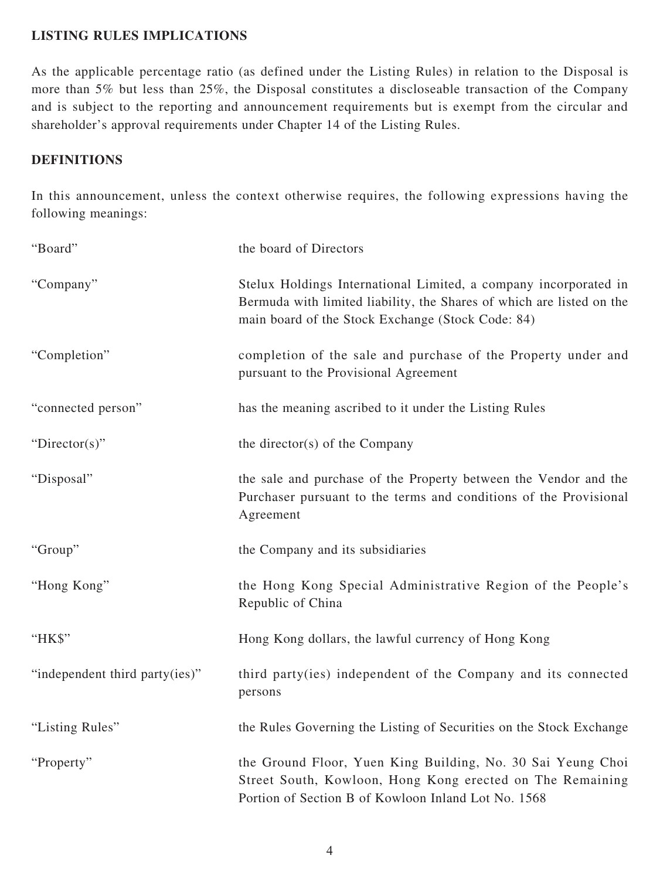# **LISTING RULES IMPLICATIONS**

As the applicable percentage ratio (as defined under the Listing Rules) in relation to the Disposal is more than 5% but less than 25%, the Disposal constitutes a discloseable transaction of the Company and is subject to the reporting and announcement requirements but is exempt from the circular and shareholder's approval requirements under Chapter 14 of the Listing Rules.

# **DEFINITIONS**

In this announcement, unless the context otherwise requires, the following expressions having the following meanings:

| "Board"                        | the board of Directors                                                                                                                                                                         |
|--------------------------------|------------------------------------------------------------------------------------------------------------------------------------------------------------------------------------------------|
| "Company"                      | Stelux Holdings International Limited, a company incorporated in<br>Bermuda with limited liability, the Shares of which are listed on the<br>main board of the Stock Exchange (Stock Code: 84) |
| "Completion"                   | completion of the sale and purchase of the Property under and<br>pursuant to the Provisional Agreement                                                                                         |
| "connected person"             | has the meaning ascribed to it under the Listing Rules                                                                                                                                         |
| "Director(s)"                  | the director(s) of the Company                                                                                                                                                                 |
| "Disposal"                     | the sale and purchase of the Property between the Vendor and the<br>Purchaser pursuant to the terms and conditions of the Provisional<br>Agreement                                             |
| "Group"                        | the Company and its subsidiaries                                                                                                                                                               |
| "Hong Kong"                    | the Hong Kong Special Administrative Region of the People's<br>Republic of China                                                                                                               |
| "HK\$"                         | Hong Kong dollars, the lawful currency of Hong Kong                                                                                                                                            |
| "independent third party(ies)" | third party(ies) independent of the Company and its connected<br>persons                                                                                                                       |
| "Listing Rules"                | the Rules Governing the Listing of Securities on the Stock Exchange                                                                                                                            |
| "Property"                     | the Ground Floor, Yuen King Building, No. 30 Sai Yeung Choi<br>Street South, Kowloon, Hong Kong erected on The Remaining<br>Portion of Section B of Kowloon Inland Lot No. 1568                |